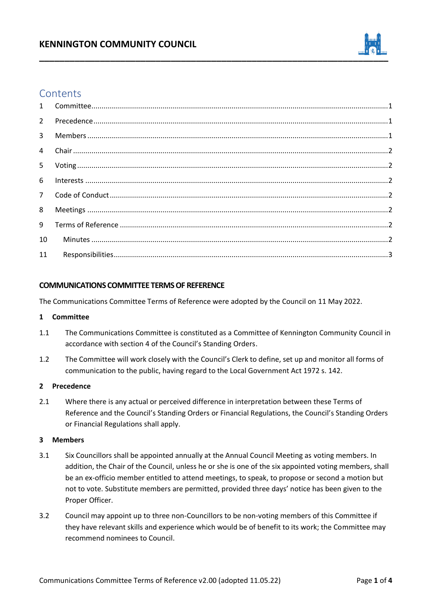## **KENNINGTON COMMUNITY COUNCIL**



# **Contents**

| $\overline{9}$ |  |
|----------------|--|
| 10             |  |
| 11             |  |
|                |  |

### **COMMUNICATIONS COMMITTEE TERMS OF REFERENCE**

The Communications Committee Terms of Reference were adopted by the Council on 11 May 2022.

#### <span id="page-0-0"></span>**1 Committee**

- 1.1 The Communications Committee is constituted as a Committee of Kennington Community Council in accordance with section 4 of the Council's Standing Orders.
- 1.2 The Committee will work closely with the Council's Clerk to define, set up and monitor all forms of communication to the public, having regard to the Local Government Act 1972 s. 142.

#### <span id="page-0-1"></span>**2 Precedence**

2.1 Where there is any actual or perceived difference in interpretation between these Terms of Reference and the Council's Standing Orders or Financial Regulations, the Council's Standing Orders or Financial Regulations shall apply.

#### <span id="page-0-2"></span>**3 Members**

- 3.1 Six Councillors shall be appointed annually at the Annual Council Meeting as voting members. In addition, the Chair of the Council, unless he or she is one of the six appointed voting members, shall be an ex-officio member entitled to attend meetings, to speak, to propose or second a motion but not to vote. Substitute members are permitted, provided three days' notice has been given to the Proper Officer.
- 3.2 Council may appoint up to three non-Councillors to be non-voting members of this Committee if they have relevant skills and experience which would be of benefit to its work; the Committee may recommend nominees to Council.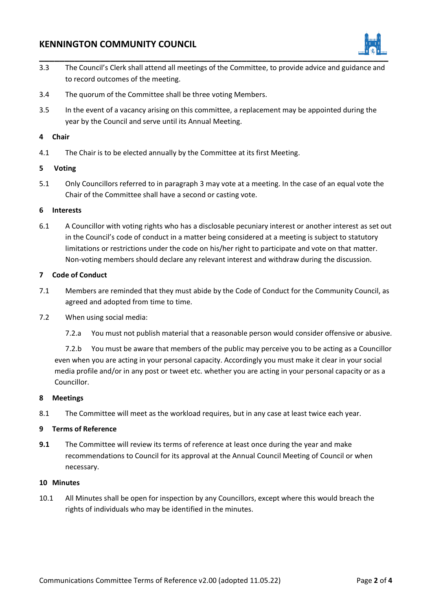## **KENNINGTON COMMUNITY COUNCIL**



- 3.3 The Council's Clerk shall attend all meetings of the Committee, to provide advice and guidance and to record outcomes of the meeting.
- 3.4 The quorum of the Committee shall be three voting Members.
- 3.5 In the event of a vacancy arising on this committee, a replacement may be appointed during the year by the Council and serve until its Annual Meeting.

#### <span id="page-1-0"></span>**4 Chair**

4.1 The Chair is to be elected annually by the Committee at its first Meeting.

### <span id="page-1-1"></span>**5 Voting**

5.1 Only Councillors referred to in paragraph 3 may vote at a meeting. In the case of an equal vote the Chair of the Committee shall have a second or casting vote.

#### <span id="page-1-2"></span>**6 Interests**

6.1 A Councillor with voting rights who has a disclosable pecuniary interest or another interest as set out in the Council's code of conduct in a matter being considered at a meeting is subject to statutory limitations or restrictions under the code on his/her right to participate and vote on that matter. Non-voting members should declare any relevant interest and withdraw during the discussion.

### <span id="page-1-3"></span>**7 Code of Conduct**

- 7.1 Members are reminded that they must abide by the Code of Conduct for the Community Council, as agreed and adopted from time to time.
- 7.2 When using social media:
	- 7.2.a You must not publish material that a reasonable person would consider offensive or abusive.

7.2.b You must be aware that members of the public may perceive you to be acting as a Councillor even when you are acting in your personal capacity. Accordingly you must make it clear in your social media profile and/or in any post or tweet etc. whether you are acting in your personal capacity or as a Councillor.

#### <span id="page-1-4"></span>**8 Meetings**

8.1 The Committee will meet as the workload requires, but in any case at least twice each year.

#### <span id="page-1-5"></span>**9 Terms of Reference**

**9.1** The Committee will review its terms of reference at least once during the year and make recommendations to Council for its approval at the Annual Council Meeting of Council or when necessary.

#### <span id="page-1-6"></span>**10 Minutes**

10.1 All Minutes shall be open for inspection by any Councillors, except where this would breach the rights of individuals who may be identified in the minutes.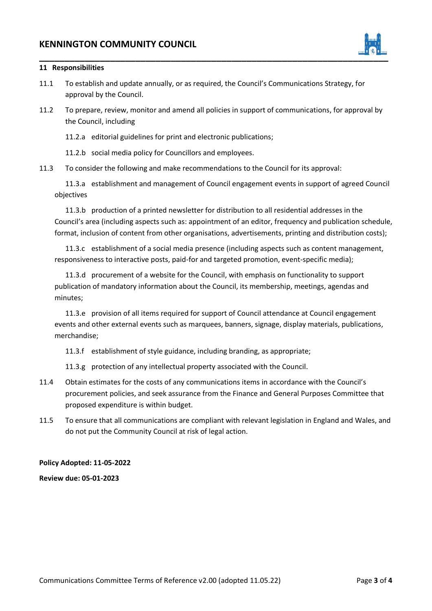

#### <span id="page-2-0"></span>**11 Responsibilities**

- 11.1 To establish and update annually, or as required, the Council's Communications Strategy, for approval by the Council.
- 11.2 To prepare, review, monitor and amend all policies in support of communications, for approval by the Council, including

11.2.a editorial guidelines for print and electronic publications;

11.2.b social media policy for Councillors and employees.

11.3 To consider the following and make recommendations to the Council for its approval:

11.3.a establishment and management of Council engagement events in support of agreed Council objectives

11.3.b production of a printed newsletter for distribution to all residential addresses in the Council's area (including aspects such as: appointment of an editor, frequency and publication schedule, format, inclusion of content from other organisations, advertisements, printing and distribution costs);

11.3.c establishment of a social media presence (including aspects such as content management, responsiveness to interactive posts, paid-for and targeted promotion, event-specific media);

11.3.d procurement of a website for the Council, with emphasis on functionality to support publication of mandatory information about the Council, its membership, meetings, agendas and minutes;

11.3.e provision of all items required for support of Council attendance at Council engagement events and other external events such as marquees, banners, signage, display materials, publications, merchandise;

11.3.f establishment of style guidance, including branding, as appropriate;

11.3.g protection of any intellectual property associated with the Council.

- 11.4 Obtain estimates for the costs of any communications items in accordance with the Council's procurement policies, and seek assurance from the Finance and General Purposes Committee that proposed expenditure is within budget.
- 11.5 To ensure that all communications are compliant with relevant legislation in England and Wales, and do not put the Community Council at risk of legal action.

#### **Policy Adopted: 11-05-2022**

**Review due: 05-01-2023**